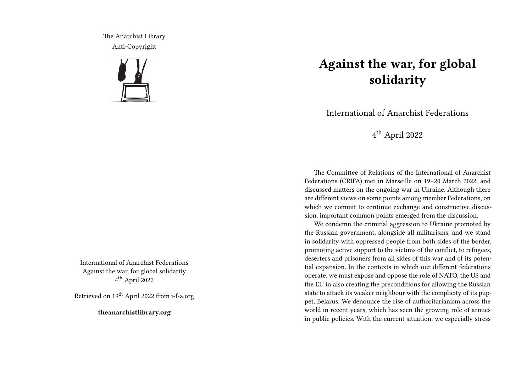The Anarchist Library Anti-Copyright



International of Anarchist Federations Against the war, for global solidarity 4 th April 2022

Retrieved on 19th April 2022 from i-f-a.org

**theanarchistlibrary.org**

## **Against the war, for global solidarity**

International of Anarchist Federations

4 th April 2022

The Committee of Relations of the International of Anarchist Federations (CRIFA) met in Marseille on 19–20 March 2022, and discussed matters on the ongoing war in Ukraine. Although there are different views on some points among member Federations, on which we commit to continue exchange and constructive discussion, important common points emerged from the discussion.

We condemn the criminal aggression to Ukraine promoted by the Russian government, alongside all militarisms, and we stand in solidarity with oppressed people from both sides of the border, promoting active support to the victims of the conflict, to refugees, deserters and prisoners from all sides of this war and of its potential expansion. In the contexts in which our different federations operate, we must expose and oppose the role of NATO, the US and the EU in also creating the preconditions for allowing the Russian state to attack its weaker neighbour with the complicity of its puppet, Belarus. We denounce the rise of authoritarianism across the world in recent years, which has seen the growing role of armies in public policies. With the current situation, we especially stress